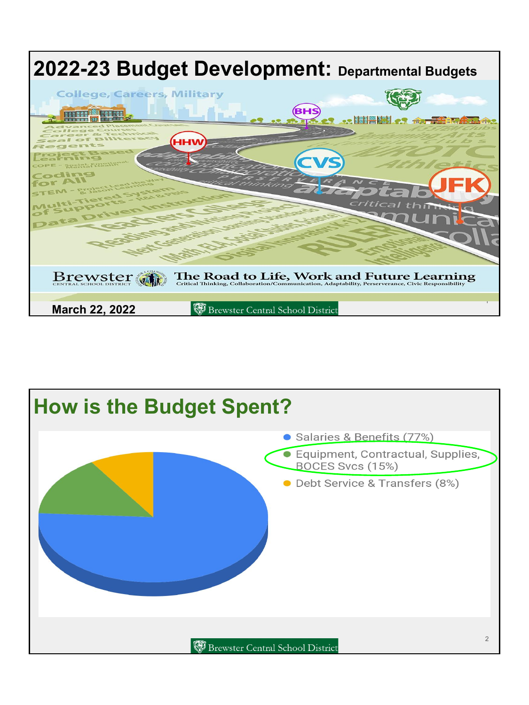

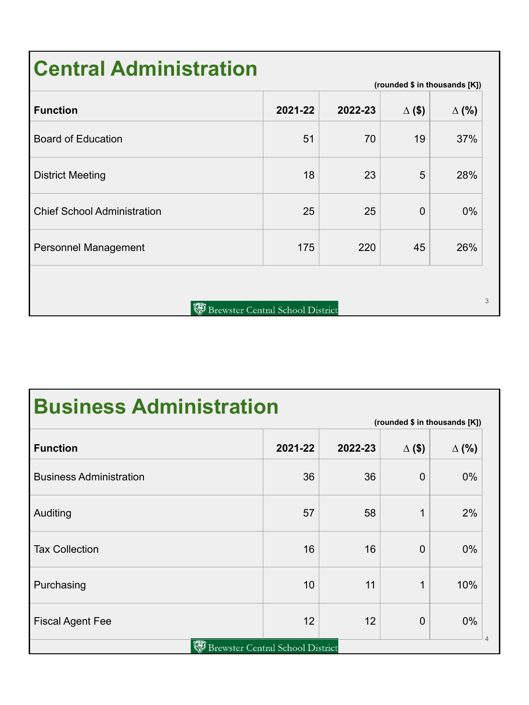# **Central Administration**

| <b>Function</b>                    | 2021-22                                 | 2022-23 | $\Delta$ (\$) | $\Delta$ (%) |
|------------------------------------|-----------------------------------------|---------|---------------|--------------|
| <b>Board of Education</b>          | 51                                      | 70      | 19            | 37%          |
| <b>District Meeting</b>            | 18                                      | 23      | 5             | 28%          |
| <b>Chief School Administration</b> | 25                                      | 25      | $\mathbf 0$   | $0\%$        |
| <b>Personnel Management</b>        | 175                                     | 220     | 45            | 26%          |
|                                    |                                         |         |               |              |
|                                    | <b>Brewster Central School District</b> |         |               |              |

**(rounded \$ in thousands [K])**

**Business Administration**

| (rounded \$ in thousands [K])                   |         |         |               |              |  |
|-------------------------------------------------|---------|---------|---------------|--------------|--|
| <b>Function</b>                                 | 2021-22 | 2022-23 | $\Delta$ (\$) | $\Delta$ (%) |  |
| <b>Business Administration</b>                  | 36      | 36      | $\mathbf 0$   | 0%           |  |
| Auditing                                        | 57      | 58      | 1             | 2%           |  |
| <b>Tax Collection</b>                           | 16      | 16      | $\mathbf 0$   | 0%           |  |
| Purchasing                                      | 10      | 11      | 1             | 10%          |  |
| <b>Fiscal Agent Fee</b>                         | 12      | 12      | $\mathbf 0$   | 0%           |  |
| $\varDelta$<br>Brewster Central School District |         |         |               |              |  |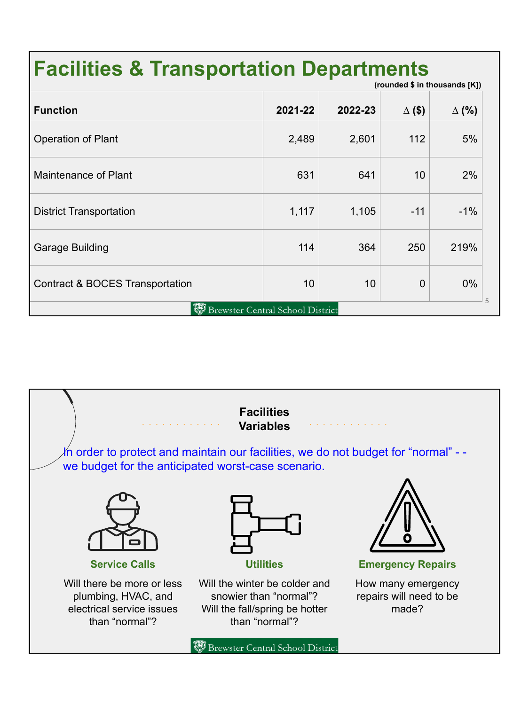#### **Facilities & Transportation Departments (rounded \$ in thousands [K])**

|                                                     |         |         | . <b>.</b>    |              |  |
|-----------------------------------------------------|---------|---------|---------------|--------------|--|
| <b>Function</b>                                     | 2021-22 | 2022-23 | $\Delta$ (\$) | $\Delta$ (%) |  |
| Operation of Plant                                  | 2,489   | 2,601   | 112           | 5%           |  |
| Maintenance of Plant                                | 631     | 641     | 10            | 2%           |  |
| <b>District Transportation</b>                      | 1,117   | 1,105   | $-11$         | $-1%$        |  |
| Garage Building                                     | 114     | 364     | 250           | 219%         |  |
| <b>Contract &amp; BOCES Transportation</b>          | 10      | 10      | $\mathbf 0$   | 0%           |  |
| 5<br>(W)<br><b>Brewster Central School District</b> |         |         |               |              |  |

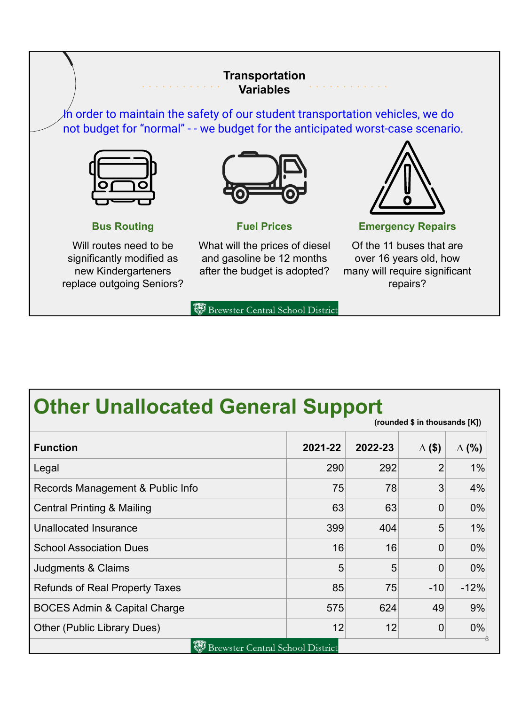#### **Transportation Variables**

In order to maintain the safety of our student transportation vehicles, we do not budget for "normal" - - we budget for the anticipated worst-case scenario.





Will routes need to be significantly modified as new Kindergarteners replace outgoing Seniors?



**Fuel Prices**

What will the prices of diesel and gasoline be 12 months after the budget is adopted?



**Emergency Repairs**

Of the 11 buses that are over 16 years old, how many will require significant repairs?

Brewster Central School District

# **Other Unallocated General Support**

| (rounded \$ in thousands [K])           |         |         |               |              |  |  |
|-----------------------------------------|---------|---------|---------------|--------------|--|--|
| <b>Function</b>                         | 2021-22 | 2022-23 | $\Delta$ (\$) | $\Delta$ (%) |  |  |
| Legal                                   | 290     | 292     | 2             | 1%           |  |  |
| Records Management & Public Info        | 75      | 78      | 3             | 4%           |  |  |
| <b>Central Printing &amp; Mailing</b>   | 63      | 63      | 0             | 0%           |  |  |
| Unallocated Insurance                   | 399     | 404     | 5             | 1%           |  |  |
| <b>School Association Dues</b>          | 16      | 16      | 0             | 0%           |  |  |
| Judgments & Claims                      | 5       | 5       | 0             | 0%           |  |  |
| <b>Refunds of Real Property Taxes</b>   | 85      | 75      | $-10$         | $-12%$       |  |  |
| <b>BOCES Admin &amp; Capital Charge</b> | 575     | 624     | 49            | 9%           |  |  |
| Other (Public Library Dues)             | 12      | 12      | 0             | 0%           |  |  |
| Brewster Central School District        |         |         |               |              |  |  |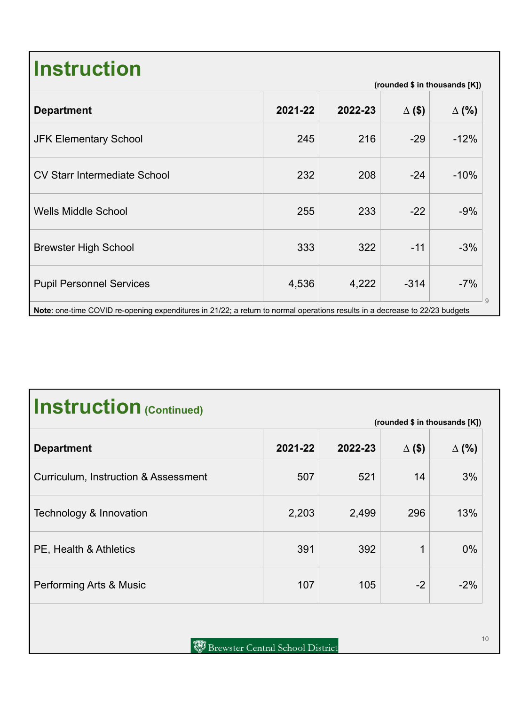# **Instruction**

| <b>Department</b>                                                                                                           | 2021-22 | 2022-23 | $\Delta$ (\$) | $\Delta$ (%) |
|-----------------------------------------------------------------------------------------------------------------------------|---------|---------|---------------|--------------|
| <b>JFK Elementary School</b>                                                                                                | 245     | 216     | $-29$         | $-12%$       |
| <b>CV Starr Intermediate School</b>                                                                                         | 232     | 208     | $-24$         | $-10%$       |
| <b>Wells Middle School</b>                                                                                                  | 255     | 233     | $-22$         | $-9%$        |
| <b>Brewster High School</b>                                                                                                 | 333     | 322     | $-11$         | $-3%$        |
| <b>Pupil Personnel Services</b>                                                                                             | 4,536   | 4,222   | $-314$        | $-7%$        |
| Note: one-time COVID re-opening expenditures in 21/22; a return to normal operations results in a decrease to 22/23 budgets |         |         |               |              |

# **Instruction (Continued)**

| (rounded \$ in thousands [K])        |         |         |               |              |
|--------------------------------------|---------|---------|---------------|--------------|
| <b>Department</b>                    | 2021-22 | 2022-23 | $\Delta$ (\$) | $\Delta$ (%) |
| Curriculum, Instruction & Assessment | 507     | 521     | 14            | 3%           |
| Technology & Innovation              | 2,203   | 2,499   | 296           | 13%          |
| PE, Health & Athletics               | 391     | 392     | 1             | $0\%$        |
| Performing Arts & Music              | 107     | 105     | $-2$          | $-2%$        |

**(rounded \$ in thousands [K])**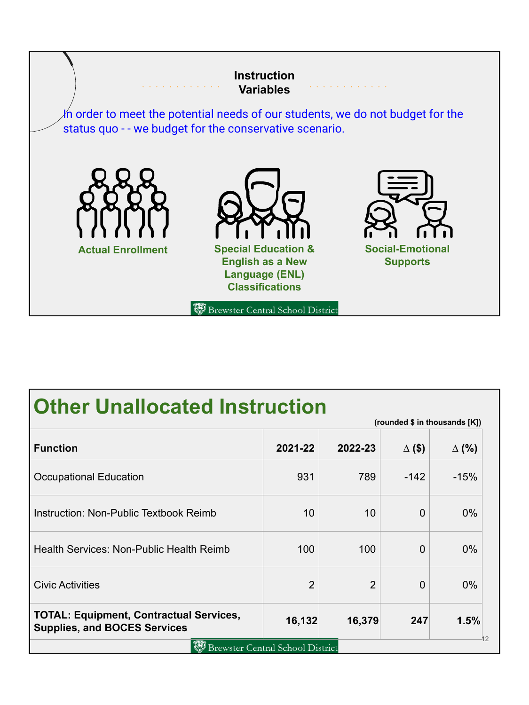

## **Other Unallocated Instruction**

|                                                                                       |                                         |                | (rounded \$ in thousands [K]) |              |
|---------------------------------------------------------------------------------------|-----------------------------------------|----------------|-------------------------------|--------------|
| <b>Function</b>                                                                       | 2021-22                                 | 2022-23        | $\Delta$ (\$)                 | $\Delta$ (%) |
| <b>Occupational Education</b>                                                         | 931                                     | 789            | $-142$                        | $-15%$       |
| Instruction: Non-Public Textbook Reimb                                                | 10                                      | 10             | $\Omega$                      | $0\%$        |
| Health Services: Non-Public Health Reimb                                              | 100                                     | 100            | $\Omega$                      | $0\%$        |
| <b>Civic Activities</b>                                                               | $\overline{2}$                          | $\overline{2}$ | $\Omega$                      | $0\%$        |
| <b>TOTAL: Equipment, Contractual Services,</b><br><b>Supplies, and BOCES Services</b> | 16,132                                  | 16,379         | 247                           | 1.5%         |
|                                                                                       | <b>Brewster Central School District</b> |                |                               | 42           |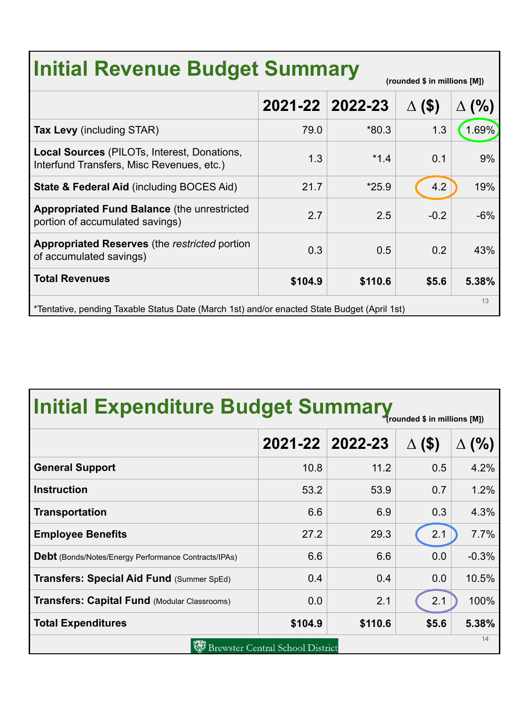| <b>Initial Revenue Budget Summary</b><br>(rounded \$ in millions [M])                             |                 |         |               |       |  |
|---------------------------------------------------------------------------------------------------|-----------------|---------|---------------|-------|--|
|                                                                                                   | 2021-22 2022-23 |         | $\Delta$ (\$) | (% )  |  |
| <b>Tax Levy</b> (including STAR)                                                                  | 79.0            | $*80.3$ | 1.3           | 1.69% |  |
| Local Sources (PILOTs, Interest, Donations,<br>Interfund Transfers, Misc Revenues, etc.)          | 1.3             | $*1.4$  | 0.1           | 9%    |  |
| <b>State &amp; Federal Aid (including BOCES Aid)</b>                                              | 21.7            | $*25.9$ | 4.2           | 19%   |  |
| <b>Appropriated Fund Balance (the unrestricted)</b><br>portion of accumulated savings)            | 2.7             | 2.5     | $-0.2$        | $-6%$ |  |
| <b>Appropriated Reserves</b> (the restricted portion<br>of accumulated savings)                   | 0.3             | 0.5     | 0.2           | 43%   |  |
| <b>Total Revenues</b>                                                                             | \$104.9         | \$110.6 | \$5.6         | 5.38% |  |
| 13<br>*Tentative, pending Taxable Status Date (March 1st) and/or enacted State Budget (April 1st) |                 |         |               |       |  |

|  | <b>Initial Expenditure Budget Summary</b> |  |
|--|-------------------------------------------|--|
|  |                                           |  |

|                                                             |         |                 | (rounded \$ in millions [M]) |         |  |
|-------------------------------------------------------------|---------|-----------------|------------------------------|---------|--|
|                                                             |         | 2021-22 2022-23 | $($ \$                       | (% )    |  |
| <b>General Support</b>                                      | 10.8    | 11.2            | 0.5                          | 4.2%    |  |
| <b>Instruction</b>                                          | 53.2    | 53.9            | 0.7                          | 1.2%    |  |
| <b>Transportation</b>                                       | 6.6     | 6.9             | 0.3                          | 4.3%    |  |
| <b>Employee Benefits</b>                                    | 27.2    | 29.3            | 2.1                          | 7.7%    |  |
| <b>Debt</b> (Bonds/Notes/Energy Performance Contracts/IPAs) | 6.6     | 6.6             | 0.0                          | $-0.3%$ |  |
| Transfers: Special Aid Fund (Summer SpEd)                   | 0.4     | 0.4             | 0.0                          | 10.5%   |  |
| <b>Transfers: Capital Fund (Modular Classrooms)</b>         | 0.0     | 2.1             | 2.1                          | 100%    |  |
| <b>Total Expenditures</b>                                   | \$104.9 | \$110.6         | \$5.6                        | 5.38%   |  |
| 14<br><b>Brewster Central School District</b>               |         |                 |                              |         |  |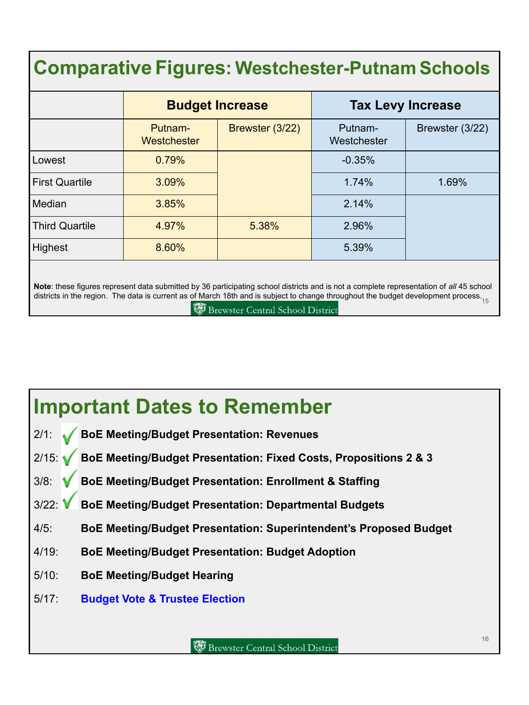# **ComparativeFigures: Westchester-Putnam Schools**

|                       | <b>Budget Increase</b> |                 | <b>Tax Levy Increase</b> |                 |
|-----------------------|------------------------|-----------------|--------------------------|-----------------|
|                       | Putnam-<br>Westchester | Brewster (3/22) | Putnam-<br>Westchester   | Brewster (3/22) |
| Lowest                | 0.79%                  |                 | $-0.35%$                 |                 |
| <b>First Quartile</b> | 3.09%                  |                 | 1.74%                    | 1.69%           |
| Median                | 3.85%                  |                 | 2.14%                    |                 |
| <b>Third Quartile</b> | 4.97%                  | 5.38%           | 2.96%                    |                 |
| Highest               | 8.60%                  |                 | 5.39%                    |                 |

districts in the region. The data is current as of March 18th and is subject to change throughout the budget development process.<br><sup>15</sup> **Note**: these figures represent data submitted by 36 participating school districts and is not a complete representation of *all* 45 school

**Brewster Central School District** 

### **Important Dates to Remember**

- 2/1: **BoE Meeting/Budget Presentation: Revenues**
- 2/15: **BoE Meeting/Budget Presentation: Fixed Costs, Propositions 2 & 3**
- 3/8: **BoE Meeting/Budget Presentation: Enrollment & Staffing**
- 3/22: **BoE Meeting/Budget Presentation: Departmental Budgets**
- 4/5: **BoE Meeting/Budget Presentation: Superintendent's Proposed Budget**
- 4/19: **BoE Meeting/Budget Presentation: Budget Adoption**
- 5/10: **BoE Meeting/Budget Hearing**
- 5/17: **Budget Vote & Trustee Election**